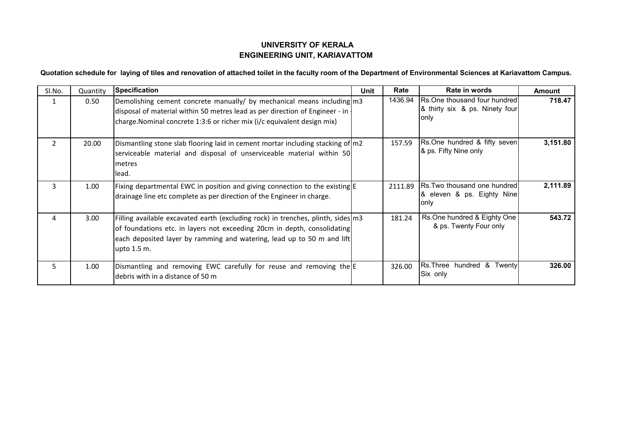## **UNIVERSITY OF KERALA ENGINEERING UNIT, KARIAVATTOM**

## **Quotation schedule for laying of tiles and renovation of attached toilet in the faculty room of the Department of Environmental Sciences at Kariavattom Campus.**

| SI.No.         | Quantity | <b>Specification</b>                                                                                                                                                                                                                                    | Unit | Rate    | Rate in words                                                                   | <b>Amount</b> |
|----------------|----------|---------------------------------------------------------------------------------------------------------------------------------------------------------------------------------------------------------------------------------------------------------|------|---------|---------------------------------------------------------------------------------|---------------|
| 1              | 0.50     | Demolishing cement concrete manually/ by mechanical means including m3<br>disposal of material within 50 metres lead as per direction of Engineer - in<br>charge. Nominal concrete 1:3:6 or richer mix (i/c equivalent design mix)                      |      | 1436.94 | <b>IRs.One thousand four hundredl</b><br>& thirty six & ps. Ninety four<br>only | 718.47        |
| $\overline{2}$ | 20.00    | Dismantling stone slab flooring laid in cement mortar including stacking of $m2$<br>serviceable material and disposal of unserviceable material within 50<br>metres<br>lead.                                                                            |      | 157.59  | Rs.One hundred & fifty seven<br>& ps. Fifty Nine only                           | 3,151.80      |
| 3              | 1.00     | Fixing departmental EWC in position and giving connection to the existing E<br>drainage line etc complete as per direction of the Engineer in charge.                                                                                                   |      | 2111.89 | Rs. Two thousand one hundred<br>8. eleven & ps. Eighty Nine<br>only             | 2,111.89      |
| 4              | 3.00     | Filling available excavated earth (excluding rock) in trenches, plinth, sides $m3$<br>of foundations etc. in layers not exceeding 20cm in depth, consolidating<br>each deposited layer by ramming and watering, lead up to 50 m and lift<br>upto 1.5 m. |      | 181.24  | Rs.One hundred & Eighty One<br>& ps. Twenty Four only                           | 543.72        |
| 5              | 1.00     | Dismantling and removing EWC carefully for reuse and removing the<br>debris with in a distance of 50 m                                                                                                                                                  |      | 326.00  | Rs. Three hundred & Twenty<br>Six only                                          | 326.00        |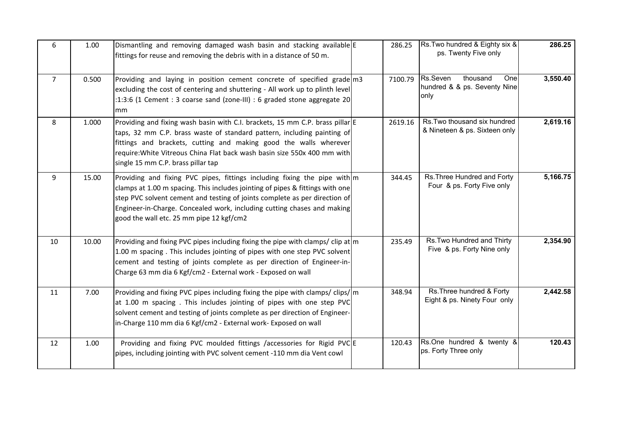| 6              | 1.00  | Dismantling and removing damaged wash basin and stacking available E<br>fittings for reuse and removing the debris with in a distance of 50 m.                                                                                                                                                                                                                  | 286.25  | Rs. Two hundred & Eighty six &<br>ps. Twenty Five only               | 286.25   |
|----------------|-------|-----------------------------------------------------------------------------------------------------------------------------------------------------------------------------------------------------------------------------------------------------------------------------------------------------------------------------------------------------------------|---------|----------------------------------------------------------------------|----------|
| $\overline{7}$ | 0.500 | Providing and laying in position cement concrete of specified grade m3<br>excluding the cost of centering and shuttering - All work up to plinth level<br>:1:3:6 (1 Cement : 3 coarse sand (zone-III) : 6 graded stone aggregate 20<br>mm                                                                                                                       | 7100.79 | Rs.Seven<br>thousand<br>Onel<br>hundred & & ps. Seventy Nine<br>only | 3,550.40 |
| 8              | 1.000 | Providing and fixing wash basin with C.I. brackets, 15 mm C.P. brass pillar E<br>taps, 32 mm C.P. brass waste of standard pattern, including painting of<br>fittings and brackets, cutting and making good the walls wherever<br>require: White Vitreous China Flat back wash basin size 550x 400 mm with<br>single 15 mm C.P. brass pillar tap                 | 2619.16 | Rs. Two thousand six hundred<br>& Nineteen & ps. Sixteen only        | 2,619.16 |
| 9              | 15.00 | Providing and fixing PVC pipes, fittings including fixing the pipe with m<br>clamps at 1.00 m spacing. This includes jointing of pipes & fittings with one<br>step PVC solvent cement and testing of joints complete as per direction of<br>Engineer-in-Charge. Concealed work, including cutting chases and making<br>good the wall etc. 25 mm pipe 12 kgf/cm2 | 344.45  | Rs. Three Hundred and Forty<br>Four & ps. Forty Five only            | 5,166.75 |
| 10             | 10.00 | Providing and fixing PVC pipes including fixing the pipe with clamps/clip at m<br>1.00 m spacing. This includes jointing of pipes with one step PVC solvent<br>cement and testing of joints complete as per direction of Engineer-in-<br>Charge 63 mm dia 6 Kgf/cm2 - External work - Exposed on wall                                                           | 235.49  | Rs. Two Hundred and Thirty<br>Five & ps. Forty Nine only             | 2,354.90 |
| 11             | 7.00  | Providing and fixing PVC pipes including fixing the pipe with clamps/clips/ m<br>at 1.00 m spacing. This includes jointing of pipes with one step PVC<br>solvent cement and testing of joints complete as per direction of Engineer-<br>in-Charge 110 mm dia 6 Kgf/cm2 - External work- Exposed on wall                                                         | 348.94  | Rs. Three hundred & Forty<br>Eight & ps. Ninety Four only            | 2,442.58 |
| 12             | 1.00  | Providing and fixing PVC moulded fittings /accessories for Rigid PVC E<br>pipes, including jointing with PVC solvent cement -110 mm dia Vent cowl                                                                                                                                                                                                               | 120.43  | Rs.One hundred & twenty &<br>ps. Forty Three only                    | 120.43   |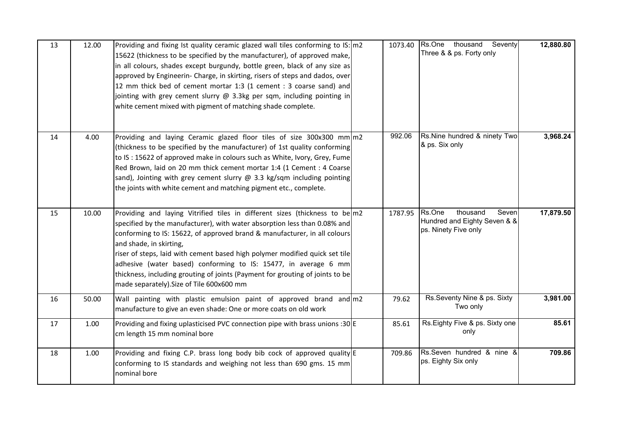| 13 | 12.00 | Providing and fixing Ist quality ceramic glazed wall tiles conforming to IS: m2<br>15622 (thickness to be specified by the manufacturer), of approved make,<br>in all colours, shades except burgundy, bottle green, black of any size as<br>approved by Engineerin- Charge, in skirting, risers of steps and dados, over<br>12 mm thick bed of cement mortar 1:3 (1 cement : 3 coarse sand) and<br>jointing with grey cement slurry @ 3.3kg per sqm, including pointing in<br>white cement mixed with pigment of matching shade complete.       | 1073.40 | Rs.One thousand<br>Seventy<br>Three & & ps. Forty only                              | 12,880.80 |
|----|-------|--------------------------------------------------------------------------------------------------------------------------------------------------------------------------------------------------------------------------------------------------------------------------------------------------------------------------------------------------------------------------------------------------------------------------------------------------------------------------------------------------------------------------------------------------|---------|-------------------------------------------------------------------------------------|-----------|
| 14 | 4.00  | Providing and laying Ceramic glazed floor tiles of size 300x300 mm m2<br>(thickness to be specified by the manufacturer) of 1st quality conforming<br>to IS: 15622 of approved make in colours such as White, Ivory, Grey, Fume<br>Red Brown, laid on 20 mm thick cement mortar 1:4 (1 Cement : 4 Coarse<br>sand), Jointing with grey cement slurry $\omega$ 3.3 kg/sqm including pointing<br>the joints with white cement and matching pigment etc., complete.                                                                                  | 992.06  | Rs.Nine hundred & ninety Two<br>& ps. Six only                                      | 3,968.24  |
| 15 | 10.00 | Providing and laying Vitrified tiles in different sizes (thickness to be m2<br>specified by the manufacturer), with water absorption less than 0.08% and<br>conforming to IS: 15622, of approved brand & manufacturer, in all colours<br>and shade, in skirting,<br>riser of steps, laid with cement based high polymer modified quick set tile<br>adhesive (water based) conforming to IS: 15477, in average 6 mm<br>thickness, including grouting of joints (Payment for grouting of joints to be<br>made separately). Size of Tile 600x600 mm | 1787.95 | Rs.One<br>thousand<br>Seven<br>Hundred and Eighty Seven & &<br>ps. Ninety Five only | 17,879.50 |
| 16 | 50.00 | Wall painting with plastic emulsion paint of approved brand and m2<br>manufacture to give an even shade: One or more coats on old work                                                                                                                                                                                                                                                                                                                                                                                                           | 79.62   | Rs.Seventy Nine & ps. Sixty<br>Two only                                             | 3,981.00  |
| 17 | 1.00  | Providing and fixing uplasticised PVC connection pipe with brass unions :30 E<br>cm length 15 mm nominal bore                                                                                                                                                                                                                                                                                                                                                                                                                                    | 85.61   | Rs.Eighty Five & ps. Sixty one<br>only                                              | 85.61     |
| 18 | 1.00  | Providing and fixing C.P. brass long body bib cock of approved quality E<br>conforming to IS standards and weighing not less than 690 gms. 15 mm<br>nominal bore                                                                                                                                                                                                                                                                                                                                                                                 | 709.86  | Rs.Seven hundred & nine &<br>ps. Eighty Six only                                    | 709.86    |